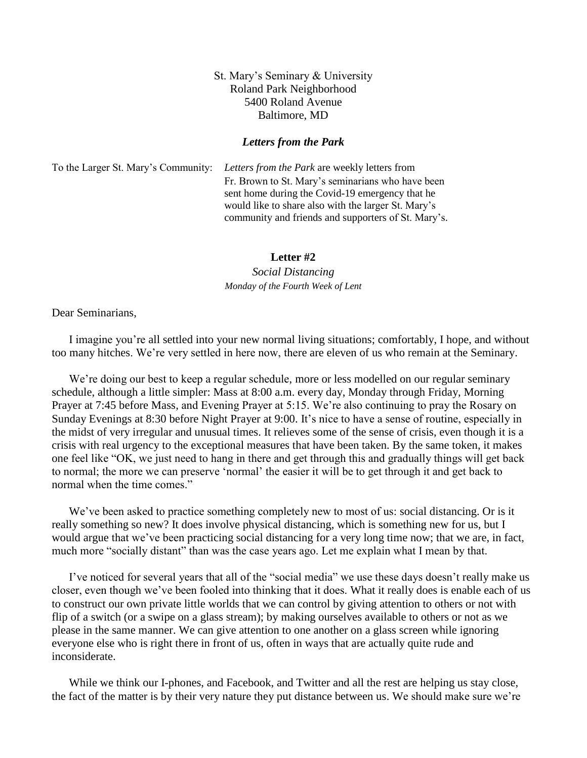## St. Mary's Seminary & University Roland Park Neighborhood 5400 Roland Avenue Baltimore, MD

## *Letters from the Park*

To the Larger St. Mary's Community: *Letters from the Park* are weekly letters from Fr. Brown to St. Mary's seminarians who have been sent home during the Covid-19 emergency that he would like to share also with the larger St. Mary's community and friends and supporters of St. Mary's.

## **Letter #2**

*Social Distancing Monday of the Fourth Week of Lent*

Dear Seminarians,

I imagine you're all settled into your new normal living situations; comfortably, I hope, and without too many hitches. We're very settled in here now, there are eleven of us who remain at the Seminary.

We're doing our best to keep a regular schedule, more or less modelled on our regular seminary schedule, although a little simpler: Mass at 8:00 a.m. every day, Monday through Friday, Morning Prayer at 7:45 before Mass, and Evening Prayer at 5:15. We're also continuing to pray the Rosary on Sunday Evenings at 8:30 before Night Prayer at 9:00. It's nice to have a sense of routine, especially in the midst of very irregular and unusual times. It relieves some of the sense of crisis, even though it is a crisis with real urgency to the exceptional measures that have been taken. By the same token, it makes one feel like "OK, we just need to hang in there and get through this and gradually things will get back to normal; the more we can preserve 'normal' the easier it will be to get through it and get back to normal when the time comes."

We've been asked to practice something completely new to most of us: social distancing. Or is it really something so new? It does involve physical distancing, which is something new for us, but I would argue that we've been practicing social distancing for a very long time now; that we are, in fact, much more "socially distant" than was the case years ago. Let me explain what I mean by that.

I've noticed for several years that all of the "social media" we use these days doesn't really make us closer, even though we've been fooled into thinking that it does. What it really does is enable each of us to construct our own private little worlds that we can control by giving attention to others or not with flip of a switch (or a swipe on a glass stream); by making ourselves available to others or not as we please in the same manner. We can give attention to one another on a glass screen while ignoring everyone else who is right there in front of us, often in ways that are actually quite rude and inconsiderate.

While we think our I-phones, and Facebook, and Twitter and all the rest are helping us stay close, the fact of the matter is by their very nature they put distance between us. We should make sure we're